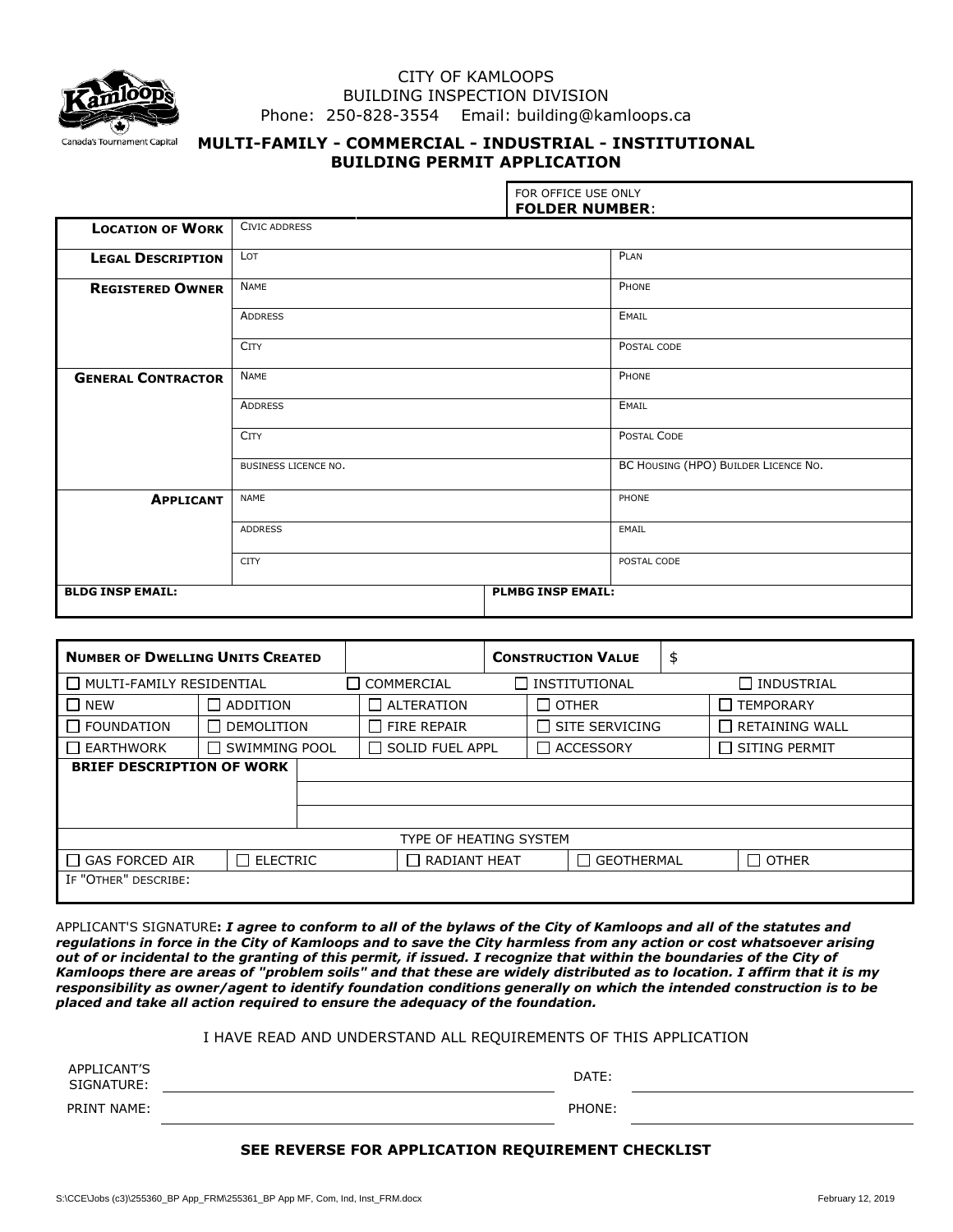

## CITY OF KAMLOOPS BUILDING INSPECTION DIVISION Phone: 250-828-3554 Email: building@kamloops.ca

# **MULTI-FAMILY - COMMERCIAL - INDUSTRIAL - INSTITUTIONAL BUILDING PERMIT APPLICATION**

|                           |                      | FOR OFFICE USE ONLY<br><b>FOLDER NUMBER:</b> |             |  |  |  |
|---------------------------|----------------------|----------------------------------------------|-------------|--|--|--|
| <b>LOCATION OF WORK</b>   | CIVIC ADDRESS        |                                              |             |  |  |  |
| <b>LEGAL DESCRIPTION</b>  | LOT                  |                                              | PLAN        |  |  |  |
| <b>REGISTERED OWNER</b>   | <b>NAME</b>          | PHONE                                        |             |  |  |  |
|                           | <b>ADDRESS</b>       |                                              | EMAIL       |  |  |  |
|                           | <b>CITY</b>          |                                              | POSTAL CODE |  |  |  |
| <b>GENERAL CONTRACTOR</b> | <b>NAME</b>          |                                              | PHONE       |  |  |  |
|                           | <b>ADDRESS</b>       |                                              | EMAIL       |  |  |  |
|                           | <b>CITY</b>          | POSTAL CODE                                  |             |  |  |  |
|                           | BUSINESS LICENCE NO. | BC HOUSING (HPO) BUILDER LICENCE NO.         |             |  |  |  |
| <b>APPLICANT</b>          | <b>NAME</b>          |                                              | PHONE       |  |  |  |
|                           | <b>ADDRESS</b>       | EMAIL                                        |             |  |  |  |
|                           | <b>CITY</b>          |                                              | POSTAL CODE |  |  |  |
| <b>BLDG INSP EMAIL:</b>   |                      | <b>PLMBG INSP EMAIL:</b>                     |             |  |  |  |

| <b>NUMBER OF DWELLING UNITS CREATED</b>  |                   |  |                    | <b>CONSTRUCTION VALUE</b>                  |                       | \$                |                            |
|------------------------------------------|-------------------|--|--------------------|--------------------------------------------|-----------------------|-------------------|----------------------------|
| MULTI-FAMILY RESIDENTIAL                 |                   |  | COMMERCIAL         |                                            | INSTITUTIONAL         |                   | $\sqcap$ industrial        |
| <b>NEW</b>                               | $\Box$ ADDITION   |  | $\Box$ ALTERATION  | $\Box$ OTHER                               |                       |                   | <b>TEMPORARY</b><br>$\Box$ |
| <b>FOUNDATION</b>                        | $\Box$ DEMOLITION |  | $\Box$ FIRE REPAIR |                                            | $\Box$ SITE SERVICING |                   | $\Box$ RETAINING WALL      |
| <b>EARTHWORK</b>                         | SWIMMING POOL     |  |                    | $\Box$ SOLID FUEL APPL<br>$\Box$ ACCESSORY |                       |                   | $\Box$ SITING PERMIT       |
| <b>BRIEF DESCRIPTION OF WORK</b>         |                   |  |                    |                                            |                       |                   |                            |
|                                          |                   |  |                    |                                            |                       |                   |                            |
|                                          |                   |  |                    |                                            |                       |                   |                            |
| TYPE OF HEATING SYSTEM                   |                   |  |                    |                                            |                       |                   |                            |
| $\Box$ ELECTRIC<br><b>GAS FORCED AIR</b> |                   |  |                    | $\Box$ RADIANT HEAT                        |                       | $\Box$ GEOTHERMAL | $\Box$ OTHER               |
| IF "OTHER" DESCRIBE:                     |                   |  |                    |                                            |                       |                   |                            |

APPLICANT'S SIGNATURE**:** *I agree to conform to all of the bylaws of the City of Kamloops and all of the statutes and regulations in force in the City of Kamloops and to save the City harmless from any action or cost whatsoever arising out of or incidental to the granting of this permit, if issued. I recognize that within the boundaries of the City of Kamloops there are areas of "problem soils" and that these are widely distributed as to location. I affirm that it is my responsibility as owner/agent to identify foundation conditions generally on which the intended construction is to be placed and take all action required to ensure the adequacy of the foundation.*

#### I HAVE READ AND UNDERSTAND ALL REQUIREMENTS OF THIS APPLICATION

| APPLICANT'S<br>SIGNATURE: | DATE:  |  |
|---------------------------|--------|--|
| PRINT NAME:               | PHONE: |  |

### **SEE REVERSE FOR APPLICATION REQUIREMENT CHECKLIST**